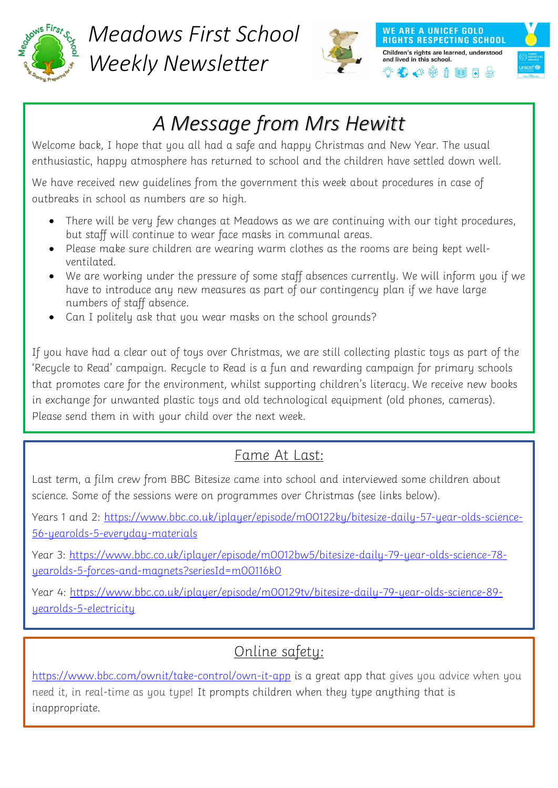

*Meadows First School Weekly Newsletter*



**WE ARE A UNICEF GOLD RIGHTS RESPECTING SCHOOL** Children's rights are learned, understood and lived in this school. 多午的100元



## *A Message from Mrs Hewitt*

Welcome back, I hope that you all had a safe and happy Christmas and New Year. The usual enthusiastic, happy atmosphere has returned to school and the children have settled down well.

We have received new guidelines from the government this week about procedures in case of outbreaks in school as numbers are so high.

- There will be very few changes at Meadows as we are continuing with our tight procedures, but staff will continue to wear face masks in communal areas.
- Please make sure children are wearing warm clothes as the rooms are being kept wellventilated.
- We are working under the pressure of some staff absences currently. We will inform you if we have to introduce any new measures as part of our contingency plan if we have large numbers of staff absence.
- Can I politely ask that you wear masks on the school grounds?

If you have had a clear out of toys over Christmas, we are still collecting plastic toys as part of the 'Recycle to Read' campaign. Recycle to Read is a fun and rewarding campaign for primary schools that promotes care for the environment, whilst supporting children's literacy. We receive new books in exchange for unwanted plastic toys and old technological equipment (old phones, cameras). Please send them in with your child over the next week.

### Fame At Last:

Last term, a film crew from BBC Bitesize came into school and interviewed some children about science. Some of the sessions were on programmes over Christmas (see links below).

Years 1 and 2: [https://www.bbc.co.uk/iplayer/episode/m00122ky/bitesize-daily-57-year-olds-science-](https://www.bbc.co.uk/iplayer/episode/m00122ky/bitesize-daily-57-year-olds-science-56-yearolds-5-everyday-materials)[56-yearolds-5-everyday-materials](https://www.bbc.co.uk/iplayer/episode/m00122ky/bitesize-daily-57-year-olds-science-56-yearolds-5-everyday-materials)

Year 3: [https://www.bbc.co.uk/iplayer/episode/m0012bw5/bitesize-daily-79-year-olds-science-78](https://www.bbc.co.uk/iplayer/episode/m0012bw5/bitesize-daily-79-year-olds-science-78-yearolds-5-forces-and-magnets?seriesId=m00116k0) [yearolds-5-forces-and-magnets?seriesId=m00116k0](https://www.bbc.co.uk/iplayer/episode/m0012bw5/bitesize-daily-79-year-olds-science-78-yearolds-5-forces-and-magnets?seriesId=m00116k0)

Year 4: [https://www.bbc.co.uk/iplayer/episode/m00129tv/bitesize-daily-79-year-olds-science-89](https://www.bbc.co.uk/iplayer/episode/m00129tv/bitesize-daily-79-year-olds-science-89-yearolds-5-electricity) [yearolds-5-electricity](https://www.bbc.co.uk/iplayer/episode/m00129tv/bitesize-daily-79-year-olds-science-89-yearolds-5-electricity)

## Online safety:

<https://www.bbc.com/ownit/take-control/own-it-app> is a great app that gives you advice when you need it, in real-time as you type! It prompts children when they type anything that is inappropriate.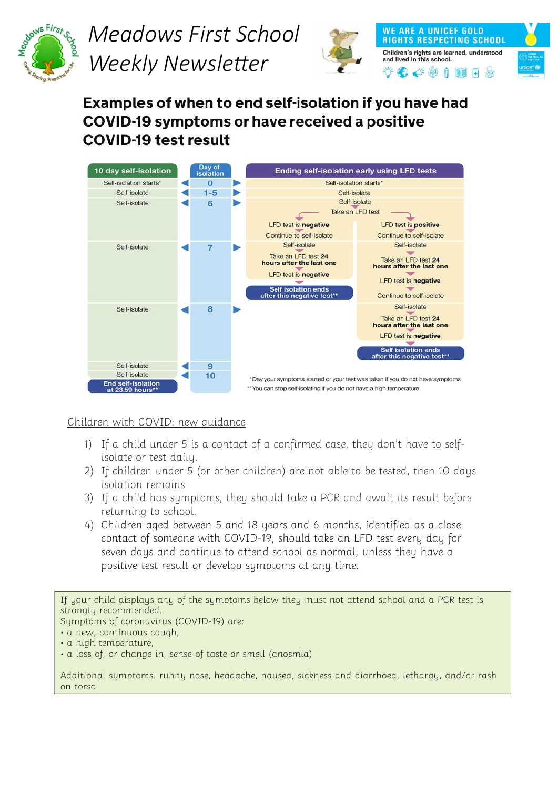

# *Meadows First School Weekly Newsletter*



**WE ARE A UNICEF GOLD RIGHTS RESPECTING SCHOOL** Children's rights are learned, understood and lived in this school.  $\bullet$   $\bullet$   $\bullet$   $\bullet$   $\bullet$   $\bullet$ 



Examples of when to end self-isolation if you have had **COVID-19 symptoms or have received a positive COVID-19 test result** 



### Children with COVID: new guidance

- 1) If a child under 5 is a contact of a confirmed case, they don't have to selfisolate or test daily.
- 2) If children under 5 (or other children) are not able to be tested, then 10 days isolation remains
- 3) If a child has symptoms, they should take a PCR and await its result before returning to school.
- 4) Children aged between 5 and 18 years and 6 months, identified as a close contact of someone with COVID-19, should take an LFD test every day for seven days and continue to attend school as normal, unless they have a positive test result or develop symptoms at any time.

If your child displays any of the symptoms below they must not attend school and a PCR test is strongly recommended.

Symptoms of coronavirus (COVID-19) are:

• a new, continuous cough,

Additional symptoms: runny nose, headache, nausea, sickness and diarrhoea, lethargy, and/or rash on torso

<sup>•</sup> a high temperature,

<sup>•</sup> a loss of, or change in, sense of taste or smell (anosmia)